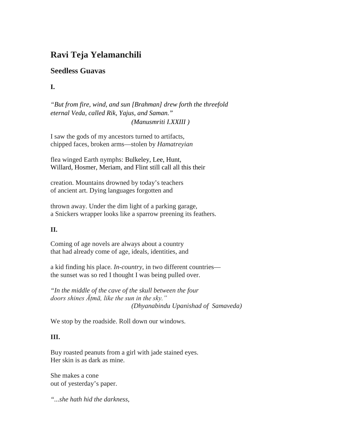## **Ravi Teja Yelamanchili**

## **Seedless Guavas**

**I.**

*"But from fire, wind, and sun [Brahman] drew forth the threefold eternal Veda, called Rik, Yajus, and Saman." (Manusmriti I.XXIII )*

I saw the gods of my ancestors turned to artifacts, chipped faces, broken arms—stolen by *Hamatreyian*

flea winged Earth nymphs: Bulkeley, Lee, Hunt, Willard, Hosmer, Meriam, and Flint still call all this their

creation. Mountains drowned by today's teachers of ancient art. Dying languages forgotten and

thrown away. Under the dim light of a parking garage, a Snickers wrapper looks like a sparrow preening its feathers.

## **II.**

Coming of age novels are always about a country that had already come of age, ideals, identities, and

a kid finding his place*. In-country*, in two different countries the sunset was so red I thought I was being pulled over.

*"In the middle of the cave of the skull between the four doors shines Āṭmā, like the sun in the sky." (Dhyanabindu Upanishad of Samaveda)*

We stop by the roadside. Roll down our windows.

## **III.**

Buy roasted peanuts from a girl with jade stained eyes. Her skin is as dark as mine.

She makes a cone out of yesterday's paper.

*"...she hath hid the darkness,*